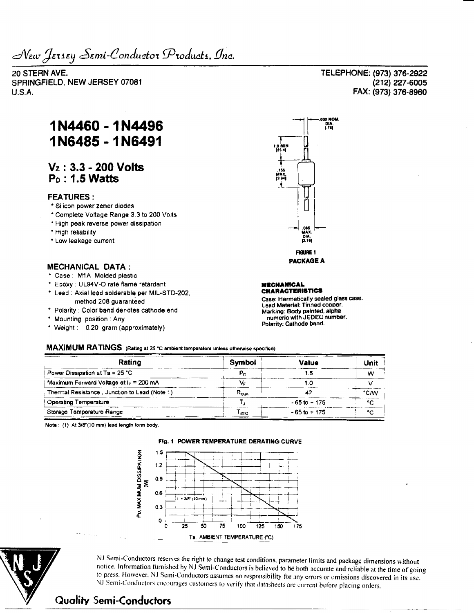New Jersey Semi-Conductor Products, Inc.

**20 STERN AVE.** SPRINGFIELD, NEW JERSEY 07081 U.S.A.

# **1N4460 -1N4496 1N6485 - 1N6491**

## **Vz : 3.3 - 200 Volts Po: 1.5 Watts**

### **FEATURES:**

- \* Silicon power zener diodes
- \* Complete Voltage Range 3 3 to 200 Volts
- \* High peak reverse power dissipation
- \* High reliability
- \* Low leakage current

### **MECHANICAL DATA :**

- \* Case : MIA Molded plastic
- \* Epoxy : UL94V-O rate flame retardant
- \* Lead : Axial lead solderable per MIL-STD-202, method 208 guaranteed
- \* Polarity : Color band denotes cathode end
- \* Mounting position : Any
- \* Weight: 0.20 gram (approximately)



#### **(MECHANICAL CHARACTERISTICS**

**Case: Hermetically sealed glass case. Lead Material: Tinned cooper. Marking: Body painted, alpha numeric with JEDEC number. Polarity: Cathode band.**

### **MAXIMUM RATINGS (Rating at 25 -C ambient tomparature unless otherwise specified)**

| Rating                                        | Symbol         | Value           | Unit<br>w |  |
|-----------------------------------------------|----------------|-----------------|-----------|--|
| Power Dissipation at Ta = 25 °C               |                |                 |           |  |
| Maximum Forward Voltage at $I_F = 200$ mA     |                |                 |           |  |
| Thermal Resistance, Junction to Lead (Note 1) | $R_{\rm{max}}$ |                 | °CM       |  |
| Operating Temperature                         |                | $-65$ to $+175$ | $\sim$    |  |
| Storage Temperature Range                     | l stG          | $-65$ to $+175$ | ۰c        |  |

**Note: (1) At 3/8"(10 mm) lead length form body.**



NJ Semi-Conductors reserves the right to change test conditions, parameter limits and package dimensions without notice. Information furnished by NJ Semi-Conductors is believed to be both accurate and reliable at the time of going to press. However. NJ Semi-Conductors assumes no responsibility for any errors or omissions discovered in its use. NJ Semi-Conductors encourages customers to verily that datasheets are current before placing orders.

**TELEPHONE: (973) 376-2922 (212) 227-6005 FAX: (973) 376-8960**

## **Quality Semi-Conductors**